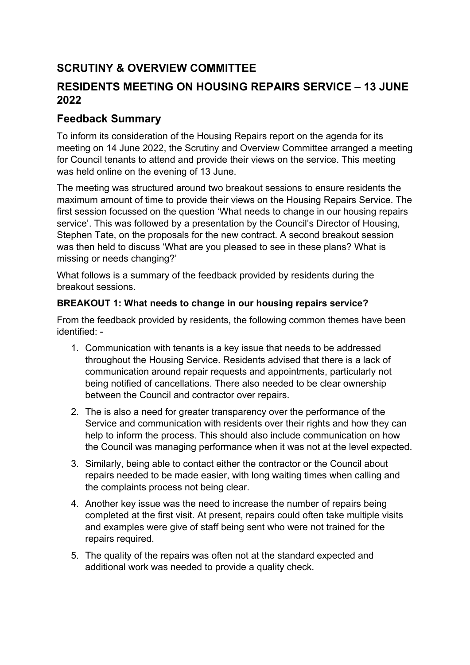# **SCRUTINY & OVERVIEW COMMITTEE**

# **RESIDENTS MEETING ON HOUSING REPAIRS SERVICE – 13 JUNE 2022**

## **Feedback Summary**

To inform its consideration of the Housing Repairs report on the agenda for its meeting on 14 June 2022, the Scrutiny and Overview Committee arranged a meeting for Council tenants to attend and provide their views on the service. This meeting was held online on the evening of 13 June.

The meeting was structured around two breakout sessions to ensure residents the maximum amount of time to provide their views on the Housing Repairs Service. The first session focussed on the question 'What needs to change in our housing repairs service'. This was followed by a presentation by the Council's Director of Housing, Stephen Tate, on the proposals for the new contract. A second breakout session was then held to discuss 'What are you pleased to see in these plans? What is missing or needs changing?'

What follows is a summary of the feedback provided by residents during the breakout sessions.

### **BREAKOUT 1: What needs to change in our housing repairs service?**

From the feedback provided by residents, the following common themes have been identified: -

- 1. Communication with tenants is a key issue that needs to be addressed throughout the Housing Service. Residents advised that there is a lack of communication around repair requests and appointments, particularly not being notified of cancellations. There also needed to be clear ownership between the Council and contractor over repairs.
- 2. The is also a need for greater transparency over the performance of the Service and communication with residents over their rights and how they can help to inform the process. This should also include communication on how the Council was managing performance when it was not at the level expected.
- 3. Similarly, being able to contact either the contractor or the Council about repairs needed to be made easier, with long waiting times when calling and the complaints process not being clear.
- 4. Another key issue was the need to increase the number of repairs being completed at the first visit. At present, repairs could often take multiple visits and examples were give of staff being sent who were not trained for the repairs required.
- 5. The quality of the repairs was often not at the standard expected and additional work was needed to provide a quality check.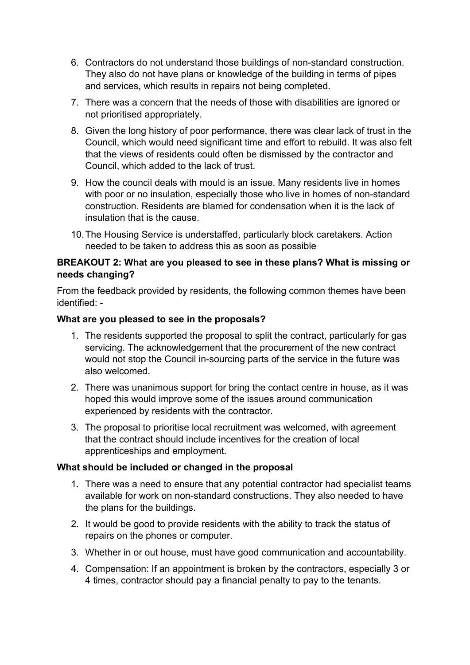- 6. Contractors do not understand those buildings of non-standard construction. They also do not have plans or knowledge of the building in terms of pipes and services, which results in repairs not being completed.
- 7. There was a concern that the needs of those with disabilities are ignored or not prioritised appropriately.
- 8. Given the long history of poor performance, there was clear lack of trust in the Council, which would need significant time and effort to rebuild. It was also felt that the views of residents could often be dismissed by the contractor and Council, which added to the lack of trust.
- 9. How the council deals with mould is an issue. Many residents live in homes with poor or no insulation, especially those who live in homes of non-standard construction. Residents are blamed for condensation when it is the lack of insulation that is the cause.
- 10.The Housing Service is understaffed, particularly block caretakers. Action needed to be taken to address this as soon as possible

#### **BREAKOUT 2: What are you pleased to see in these plans? What is missing or needs changing?**

From the feedback provided by residents, the following common themes have been identified: -

#### **What are you pleased to see in the proposals?**

- 1. The residents supported the proposal to split the contract, particularly for gas servicing. The acknowledgement that the procurement of the new contract would not stop the Council in-sourcing parts of the service in the future was also welcomed.
- 2. There was unanimous support for bring the contact centre in house, as it was hoped this would improve some of the issues around communication experienced by residents with the contractor.
- 3. The proposal to prioritise local recruitment was welcomed, with agreement that the contract should include incentives for the creation of local apprenticeships and employment.

### **What should be included or changed in the proposal**

- 1. There was a need to ensure that any potential contractor had specialist teams available for work on non-standard constructions. They also needed to have the plans for the buildings.
- 2. It would be good to provide residents with the ability to track the status of repairs on the phones or computer.
- 3. Whether in or out house, must have good communication and accountability.
- 4. Compensation: If an appointment is broken by the contractors, especially 3 or 4 times, contractor should pay a financial penalty to pay to the tenants.